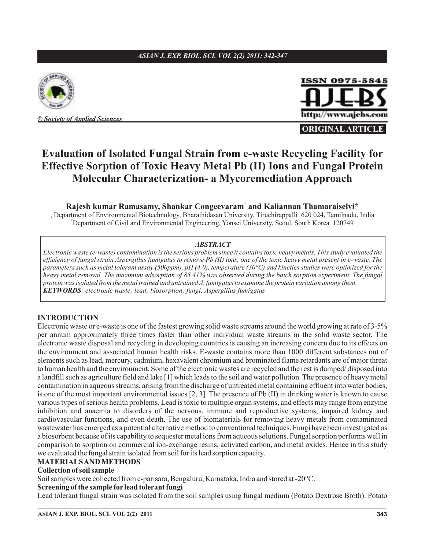#### *ASIAN J. EXP. BIOL. SCI. VOL 2(2) 2011: 342-347*



**©** *Society of Applied Sciences*

# ISSN 0975-5845 http://www.ajebs.com

**ORIGINAL ARTICLE**

## **Evaluation of Isolated Fungal Strain from e-waste Recycling Facility for Effective Sorption of Toxic Heavy Metal Pb (II) Ions and Fungal Protein Molecular Characterization- a Mycoremediation Approach**

**Rajesh kumar Ramasamy, Shankar Congeevaram<sup>†</sup> and Kaliannan Thamaraiselvi\*** 

, Department of Environmental Biotechnology, Bharathidasan University, Tiruchirappalli 620 024, Tamilnadu, India Department of Civil and Environmental Engineering, Yonsei University, Seoul, South Korea 120749 †

#### *ABSTRACT*

*KEYWORDS : electronic waste; lead; biosorption; fungi; Aspergillus fumigatus Electronic waste (e-waste) contamination is the serious problem since it contains toxic heavy metals. This study evaluated the efficiency of fungal strain Aspergillus fumigatus to remove Pb (II) ions, one of the toxic heavy metal present in e-waste. The parameters such as metal tolerant assay (500ppm), pH (4.0), temperature (30°C) and kinetics studies were optimized for the heavy metal removal. The maximum adsorption of 85.41% was observed during the batch sorption experiment. The fungal protein was isolated from the metal trained and untrained A. fumigatus to examine the protein variation among them.*

#### **INTRODUCTION**

Electronic waste or e-waste is one of the fastest growing solid waste streams around the world growing at rate of 3-5% per annum approximately three times faster than other individual waste streams in the solid waste sector. The electronic waste disposal and recycling in developing countries is causing an increasing concern due to its effects on the environment and associated human health risks. E-waste contains more than 1000 different substances out of elements such as lead, mercury, cadmium, hexavalent chromium and brominated flame retardants are of major threat to human health and the environment. Some of the electronic wastes are recycled and the rest is dumped/ disposed into a landfill such as agriculture field and lake [1] which leads to the soil and water pollution. The presence of heavy metal contamination in aqueous streams, arising from the discharge of untreated metal containing effluent into water bodies, is one of the most important environmental issues [2, 3]. The presence of Pb (II) in drinking water is known to cause various types of serious health problems. Lead is toxic to multiple organ systems, and effects may range from enzyme inhibition and anaemia to disorders of the nervous, immune and reproductive systems, impaired kidney and cardiovascular functions, and even death. The use of biomaterials for removing heavy metals from contaminated wastewater has emerged as a potential alternative method to conventional techniques. Fungi have been investigated as a biosorbent because of its capability to sequester metal ions from aqueous solutions. Fungal sorption performs well in comparison to sorption on commercial ion-exchange resins, activated carbon, and metal oxides. Hence in this study we evaluated the fungal strain isolated from soil for its lead sorption capacity.

## **MATERIALSANDMETHODS**

#### **Collection of soil sample**

Soil samples were collected from e-parisara, Bengaluru, Karnataka, India and stored at -20°C.

#### **Screening of the sample forlead tolerant fungi**

Lead tolerant fungal strain was isolated from the soil samples using fungal medium (Potato Dextrose Broth). Potato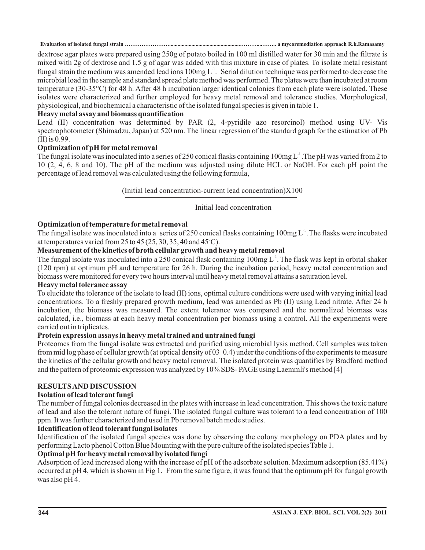dextrose agar plates were prepared using 250g of potato boiled in 100 ml distilled water for 30 min and the filtrate is mixed with 2g of dextrose and 1.5 g of agar was added with this mixture in case of plates. To isolate metal resistant fungal strain the medium was amended lead ions  $100$ mg  $L<sup>-1</sup>$ . Serial dilution technique was performed to decrease the microbial load in the sample and standard spread plate method was performed. The plates were than incubated at room temperature (30-35°C) for 48 h. After 48 h incubation larger identical colonies from each plate were isolated. These isolates were characterized and further employed for heavy metal removal and tolerance studies. Morphological, physiological, and biochemical a characteristic of the isolated fungal species is given in table 1.

#### **Heavy metal assay and biomass quantification**

Lead (II) concentration was determined by PAR (2, 4-pyridile azo resorcinol) method using UV- Vis spectrophotometer (Shimadzu, Japan) at 520 nm. The linear regression of the standard graph for the estimation of Pb (II) is 0.99.

#### **Optimization of pH formetal removal**

The fungal isolate was inoculated into a series of 250 conical flasks containing  $100$ mg L<sup>-1</sup>. The pH was varied from 2 to 10 (2, 4, 6, 8 and 10). The pH of the medium was adjusted using dilute HCL or NaOH. For each pH point the percentage of lead removal was calculated using the following formula,

(Initial lead concentration-current lead concentration)X100

#### Initial lead concentration

#### **Optimization of temperature formetal removal**

The fungal isolate was inoculated into a series of 250 conical flasks containing  $100mg L<sup>-1</sup>$ . The flasks were incubated at temperatures varied from 25 to 45 (25, 30, 35, 40 and 45°C).

### **Measurement of the kinetics of broth cellular growth and heavy metal removal**

The fungal isolate was inoculated into a 250 conical flask containing  $100$ mg L<sup>-1</sup>. The flask was kept in orbital shaker (120 rpm) at optimum pH and temperature for 26 h. During the incubation period, heavy metal concentration and biomass were monitored for every two hours interval until heavy metal removal attains a saturation level.

#### **Heavy metal tolerance assay**

To elucidate the tolerance of the isolate to lead (II) ions, optimal culture conditions were used with varying initial lead concentrations. To a freshly prepared growth medium, lead was amended as Pb (II) using Lead nitrate. After 24 h incubation, the biomass was measured. The extent tolerance was compared and the normalized biomass was calculated, i.e., biomass at each heavy metal concentration per biomass using a control. All the experiments were carried out in triplicates.

#### **Protein expression assays in heavy metal trained and untrained fungi**

Proteomes from the fungal isolate was extracted and purified using microbial lysis method. Cell samples was taken from mid log phase of cellular growth (at optical density of 03 0.4) under the conditions of the experiments to measure the kinetics of the cellular growth and heavy metal removal. The isolated protein was quantifies by Bradford method and the pattern of proteomic expression was analyzed by 10% SDS- PAGE using Laemmli's method [4]

### **RESULTSAND DISCUSSION**

#### **Isolation of lead tolerant fungi**

The number of fungal colonies decreased in the plates with increase in lead concentration. This shows the toxic nature of lead and also the tolerant nature of fungi. The isolated fungal culture was tolerant to a lead concentration of 100 ppm. It was further characterized and used in Pb removal batch mode studies.

#### **Identification of lead tolerant fungal isolates**

Identification of the isolated fungal species was done by observing the colony morphology on PDA plates and by performing Lacto phenol Cotton Blue Mounting with the pure culture of the isolated species Table 1.

### **Optimal pH for heavy metal removal by isolated fungi**

Adsorption of lead increased along with the increase of pH of the adsorbate solution. Maximum adsorption (85.41%) occurred at pH 4, which is shown in Fig 1. From the same figure, it was found that the optimum pH for fungal growth was also pH 4.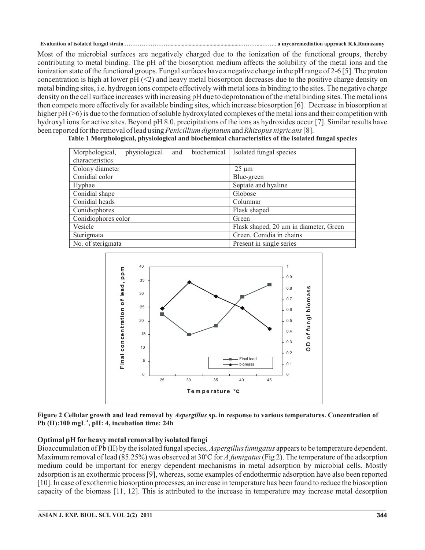Most of the microbial surfaces are negatively charged due to the ionization of the functional groups, thereby contributing to metal binding. The pH of the biosorption medium affects the solubility of the metal ions and the ionization state of the functional groups. Fungal surfaces have a negative charge in the pH range of 2-6 [5]. The proton concentration is high at lower  $pH$  (<2) and heavy metal biosorption decreases due to the positive charge density on metal binding sites, i.e. hydrogen ions compete effectively with metal ions in binding to the sites. The negative charge density on the cell surface increases with increasing pH due to deprotonation of the metal binding sites. The metal ions then compete more effectively for available binding sites, which increase biosorption [6]. Decrease in biosorption at higher pH ( $>6$ ) is due to the formation of soluble hydroxylated complexes of the metal ions and their competition with hydroxyl ions for active sites. Beyond pH 8.0, precipitations of the ions as hydroxides occur [7]. Similar results have been reported for the removal of lead using *Penicillium digitatum* and *Rhizopus nigricans* [8].

| biochemical<br>Morphological,<br>physiological<br>and | Isolated fungal species                |
|-------------------------------------------------------|----------------------------------------|
| characteristics                                       |                                        |
| Colony diameter                                       | $25 \mu m$                             |
| Conidial color                                        | Blue-green                             |
| Hyphae                                                | Septate and hyaline                    |
| Conidial shape                                        | Globose                                |
| Conidial heads                                        | Columnar                               |
| Conidiophores                                         | Flask shaped                           |
| Conidiophores color                                   | Green                                  |
| Vesicle                                               | Flask shaped, 20 µm in diameter, Green |
| Sterigmata                                            | Green, Conidia in chains               |
| No. of sterigmata                                     | Present in single series               |

**Table 1 Morphological, physiological and biochemical characteristics of the isolated fungal species**



Figure 2 Cellular growth and lead removal by *Aspergillus* sp. in response to various temperatures. Concentration of  $Pb$  (II):100  $mgL^{-1}$ , pH: 4, incubation time: 24h

#### **Optimal pH for heavy metal removal by isolated fungi**

Bioaccumulation of Pb (II) by the isolated fungal species, *Aspergillus fumigatus* appears to be temperature dependent. Maximum removal of lead (85.25%) was observed at 30°C for A.fumigatus (Fig 2). The temperature of the adsorption medium could be important for energy dependent mechanisms in metal adsorption by microbial cells. Mostly adsorption is an exothermic process [9], whereas, some examples of endothermic adsorption have also been reported [10]. In case of exothermic biosorption processes, an increase in temperature has been found to reduce the biosorption capacity of the biomass [11, 12]. This is attributed to the increase in temperature may increase metal desorption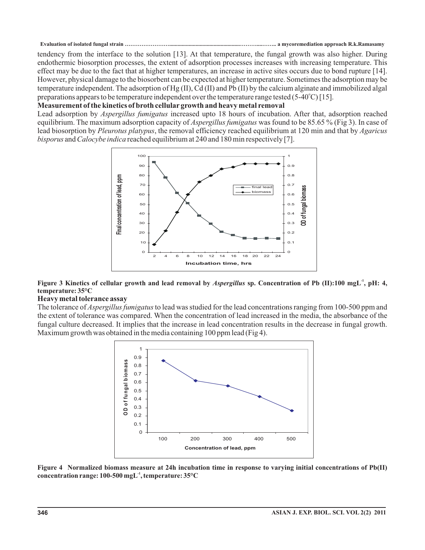tendency from the interface to the solution [13]. At that temperature, the fungal growth was also higher. During endothermic biosorption processes, the extent of adsorption processes increases with increasing temperature. This effect may be due to the fact that at higher temperatures, an increase in active sites occurs due to bond rupture [14]. However, physical damage to the biosorbent can be expected at higher temperature. Sometimes the adsorption may be temperature independent. The adsorption of Hg (II), Cd (II) and Pb (II) by the calcium alginate and immobilized algal preparations appears to be temperature independent over the temperature range tested (5-40°C) [15].

#### **Measurement of the kinetics of broth cellular growth and heavy metal removal**

Lead adsorption by Aspergillus fumigatus increased upto 18 hours of incubation. After that, adsorption reached equilibrium. The maximum adsorption capacity of *Aspergillus fumigatus* was found to be 85.65 % (Fig 3). In case of lead biosorption by *Pleurotus platypus*, the removal efficiency reached equilibrium at 120 min and that by Agaricus *bisporus* and *Calocybe indica* reached equilibrium at 240 and 180 min respectively [7].



#### Figure 3 Kinetics of cellular growth and lead removal by Aspergillus sp. Concentration of Pb (II):100 mgL<sup>-1</sup>, pH: 4, **temperature: 35°C**

#### **Heavy metal tolerance assay**

The tolerance of *Aspergillus fumigatus* to lead was studied for the lead concentrations ranging from 100-500 ppm and the extent of tolerance was compared. When the concentration of lead increased in the media, the absorbance of the fungal culture decreased. It implies that the increase in lead concentration results in the decrease in fungal growth. Maximum growth was obtained in the media containing 100 ppm lead (Fig 4).



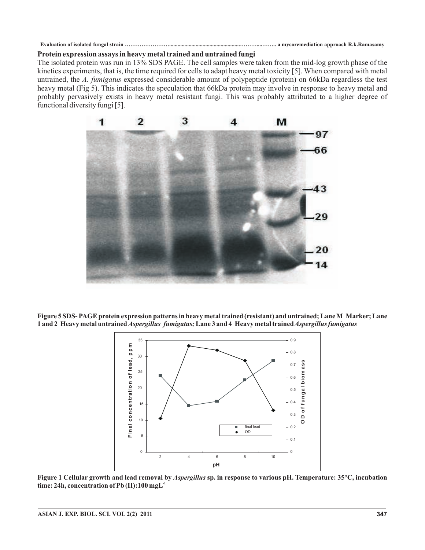#### **Protein expression assays in heavy metal trained and untrained fungi**

The isolated protein was run in 13% SDS PAGE. The cell samples were taken from the mid-log growth phase of the kinetics experiments, that is, the time required for cells to adapt heavy metal toxicity [5]. When compared with metal untrained, the A. fumigatus expressed considerable amount of polypeptide (protein) on 66kDa regardless the test heavy metal (Fig 5). This indicates the speculation that 66kDa protein may involve in response to heavy metal and probably pervasively exists in heavy metal resistant fungi. This was probably attributed to a higher degree of functional diversity fungi [5].



**Figure 5 SDS- PAGE protein expression patterns in heavy metal trained (resistant) and untrained; LaneM Marker; Lane** 1 and 2 Heavy metal untrained *Aspergillus fumigatus;* Lane 3 and 4 Heavy metal trained *Aspergillus fumigatus* 



Figure 1 Cellular growth and lead removal by *Aspergillus* sp. in response to various pH. Temperature: 35°C, incubation **time: 24h, concentration of Pb (II):100 mgL -1**